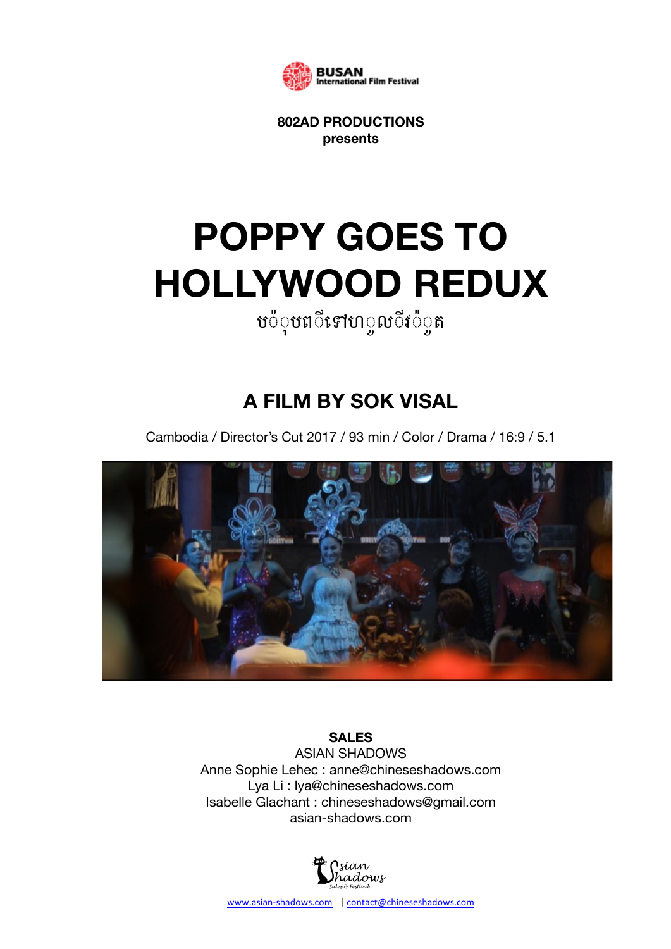

**802AD PRODUCTIONS presents**

# **POPPY GOES TO HOLLYWOOD REDUX**

# ប**៉**ុបព**ីទៅហ**្គលីវ*៉*ុត

# **A FILM BY SOK VISAL**

Cambodia / Director's Cut 2017 / 93 min / Color / Drama / 16:9 / 5.1



### **SALES**

ASIAN SHADOWS Anne Sophie Lehec : anne@chineseshadows.com Lya Li : lya@chineseshadows.com Isabelle Glachant : chineseshadows@gmail.com asian-shadows.com

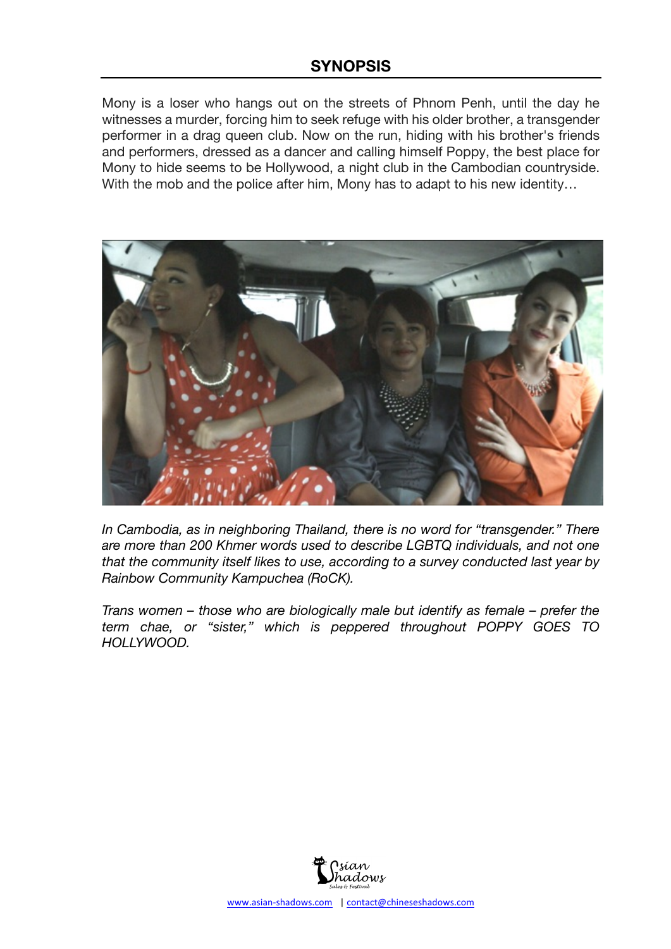Mony is a loser who hangs out on the streets of Phnom Penh, until the day he witnesses a murder, forcing him to seek refuge with his older brother, a transgender performer in a drag queen club. Now on the run, hiding with his brother's friends and performers, dressed as a dancer and calling himself Poppy, the best place for Mony to hide seems to be Hollywood, a night club in the Cambodian countryside. With the mob and the police after him, Mony has to adapt to his new identity...



*In Cambodia, as in neighboring Thailand, there is no word for "transgender." There are more than 200 Khmer words used to describe LGBTQ individuals, and not one that the community itself likes to use, according to a survey conducted last year by Rainbow Community Kampuchea (RoCK).* 

*Trans women – those who are biologically male but identify as female – prefer the term chae, or "sister," which is peppered throughout POPPY GOES TO HOLLYWOOD.* 

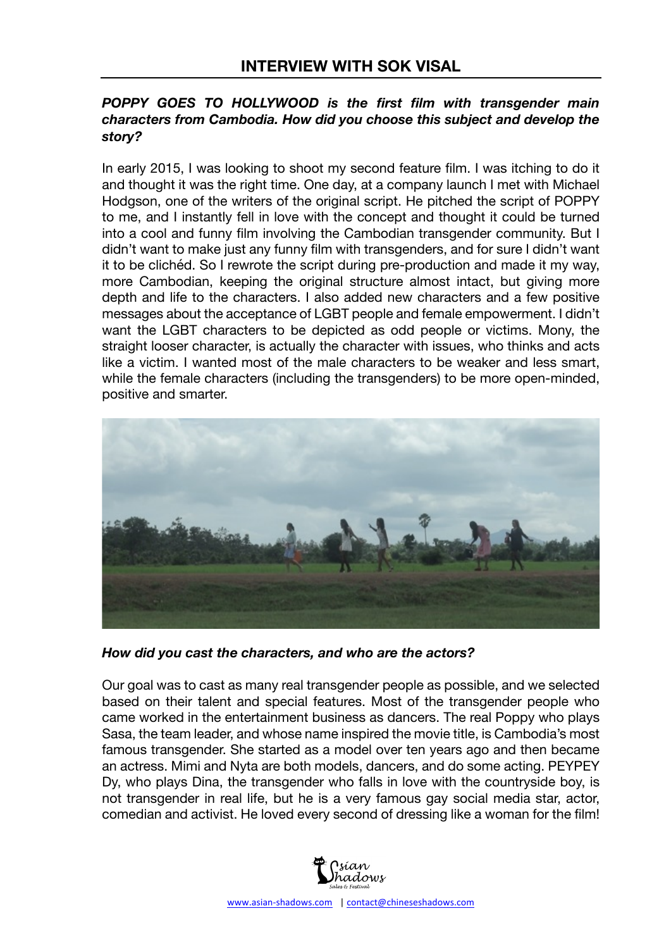#### *POPPY GOES TO HOLLYWOOD is the first film with transgender main characters from Cambodia. How did you choose this subject and develop the story?*

In early 2015, I was looking to shoot my second feature film. I was itching to do it and thought it was the right time. One day, at a company launch I met with Michael Hodgson, one of the writers of the original script. He pitched the script of POPPY to me, and I instantly fell in love with the concept and thought it could be turned into a cool and funny film involving the Cambodian transgender community. But I didn't want to make just any funny film with transgenders, and for sure I didn't want it to be clichéd. So I rewrote the script during pre-production and made it my way, more Cambodian, keeping the original structure almost intact, but giving more depth and life to the characters. I also added new characters and a few positive messages about the acceptance of LGBT people and female empowerment. I didn't want the LGBT characters to be depicted as odd people or victims. Mony, the straight looser character, is actually the character with issues, who thinks and acts like a victim. I wanted most of the male characters to be weaker and less smart, while the female characters (including the transgenders) to be more open-minded, positive and smarter.



*How did you cast the characters, and who are the actors?*

Our goal was to cast as many real transgender people as possible, and we selected based on their talent and special features. Most of the transgender people who came worked in the entertainment business as dancers. The real Poppy who plays Sasa, the team leader, and whose name inspired the movie title, is Cambodia's most famous transgender. She started as a model over ten years ago and then became an actress. Mimi and Nyta are both models, dancers, and do some acting. PEYPEY Dy, who plays Dina, the transgender who falls in love with the countryside boy, is not transgender in real life, but he is a very famous gay social media star, actor, comedian and activist. He loved every second of dressing like a woman for the film!

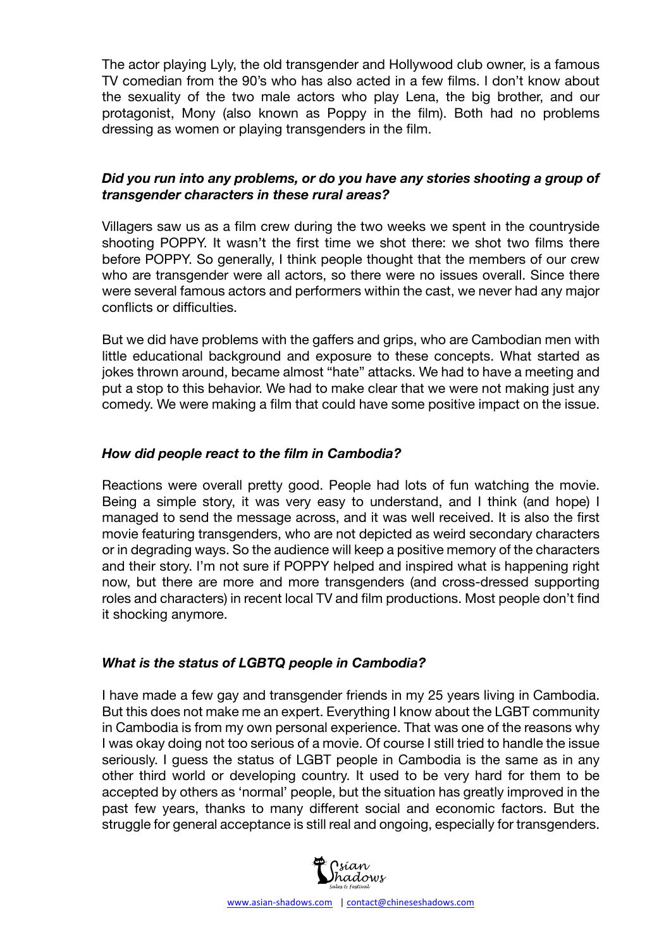The actor playing Lyly, the old transgender and Hollywood club owner, is a famous TV comedian from the 90's who has also acted in a few films. I don't know about the sexuality of the two male actors who play Lena, the big brother, and our protagonist, Mony (also known as Poppy in the film). Both had no problems dressing as women or playing transgenders in the film.

#### *Did you run into any problems, or do you have any stories shooting a group of transgender characters in these rural areas?*

Villagers saw us as a film crew during the two weeks we spent in the countryside shooting POPPY. It wasn't the first time we shot there: we shot two films there before POPPY. So generally, I think people thought that the members of our crew who are transgender were all actors, so there were no issues overall. Since there were several famous actors and performers within the cast, we never had any major conflicts or difficulties.

But we did have problems with the gaffers and grips, who are Cambodian men with little educational background and exposure to these concepts. What started as jokes thrown around, became almost "hate" attacks. We had to have a meeting and put a stop to this behavior. We had to make clear that we were not making just any comedy. We were making a film that could have some positive impact on the issue.

#### *How did people react to the film in Cambodia?*

Reactions were overall pretty good. People had lots of fun watching the movie. Being a simple story, it was very easy to understand, and I think (and hope) I managed to send the message across, and it was well received. It is also the first movie featuring transgenders, who are not depicted as weird secondary characters or in degrading ways. So the audience will keep a positive memory of the characters and their story. I'm not sure if POPPY helped and inspired what is happening right now, but there are more and more transgenders (and cross-dressed supporting roles and characters) in recent local TV and film productions. Most people don't find it shocking anymore.

#### *What is the status of LGBTQ people in Cambodia?*

I have made a few gay and transgender friends in my 25 years living in Cambodia. But this does not make me an expert. Everything I know about the LGBT community in Cambodia is from my own personal experience. That was one of the reasons why I was okay doing not too serious of a movie. Of course I still tried to handle the issue seriously. I guess the status of LGBT people in Cambodia is the same as in any other third world or developing country. It used to be very hard for them to be accepted by others as 'normal' people, but the situation has greatly improved in the past few years, thanks to many different social and economic factors. But the struggle for general acceptance is still real and ongoing, especially for transgenders.

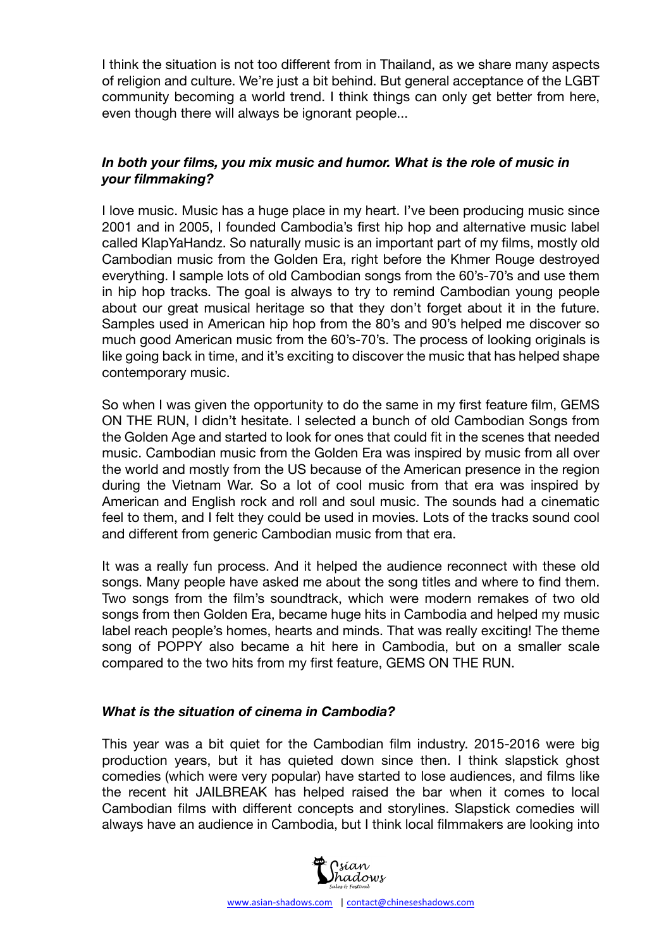I think the situation is not too different from in Thailand, as we share many aspects of religion and culture. We're just a bit behind. But general acceptance of the LGBT community becoming a world trend. I think things can only get better from here, even though there will always be ignorant people...

#### *In both your films, you mix music and humor. What is the role of music in your filmmaking?*

I love music. Music has a huge place in my heart. I've been producing music since 2001 and in 2005, I founded Cambodia's first hip hop and alternative music label called KlapYaHandz. So naturally music is an important part of my films, mostly old Cambodian music from the Golden Era, right before the Khmer Rouge destroyed everything. I sample lots of old Cambodian songs from the 60's-70's and use them in hip hop tracks. The goal is always to try to remind Cambodian young people about our great musical heritage so that they don't forget about it in the future. Samples used in American hip hop from the 80's and 90's helped me discover so much good American music from the 60's-70's. The process of looking originals is like going back in time, and it's exciting to discover the music that has helped shape contemporary music.

So when I was given the opportunity to do the same in my first feature film, GEMS ON THE RUN, I didn't hesitate. I selected a bunch of old Cambodian Songs from the Golden Age and started to look for ones that could fit in the scenes that needed music. Cambodian music from the Golden Era was inspired by music from all over the world and mostly from the US because of the American presence in the region during the Vietnam War. So a lot of cool music from that era was inspired by American and English rock and roll and soul music. The sounds had a cinematic feel to them, and I felt they could be used in movies. Lots of the tracks sound cool and different from generic Cambodian music from that era.

It was a really fun process. And it helped the audience reconnect with these old songs. Many people have asked me about the song titles and where to find them. Two songs from the film's soundtrack, which were modern remakes of two old songs from then Golden Era, became huge hits in Cambodia and helped my music label reach people's homes, hearts and minds. That was really exciting! The theme song of POPPY also became a hit here in Cambodia, but on a smaller scale compared to the two hits from my first feature, GEMS ON THE RUN.

#### *What is the situation of cinema in Cambodia?*

This year was a bit quiet for the Cambodian film industry. 2015-2016 were big production years, but it has quieted down since then. I think slapstick ghost comedies (which were very popular) have started to lose audiences, and films like the recent hit JAILBREAK has helped raised the bar when it comes to local Cambodian films with different concepts and storylines. Slapstick comedies will always have an audience in Cambodia, but I think local filmmakers are looking into

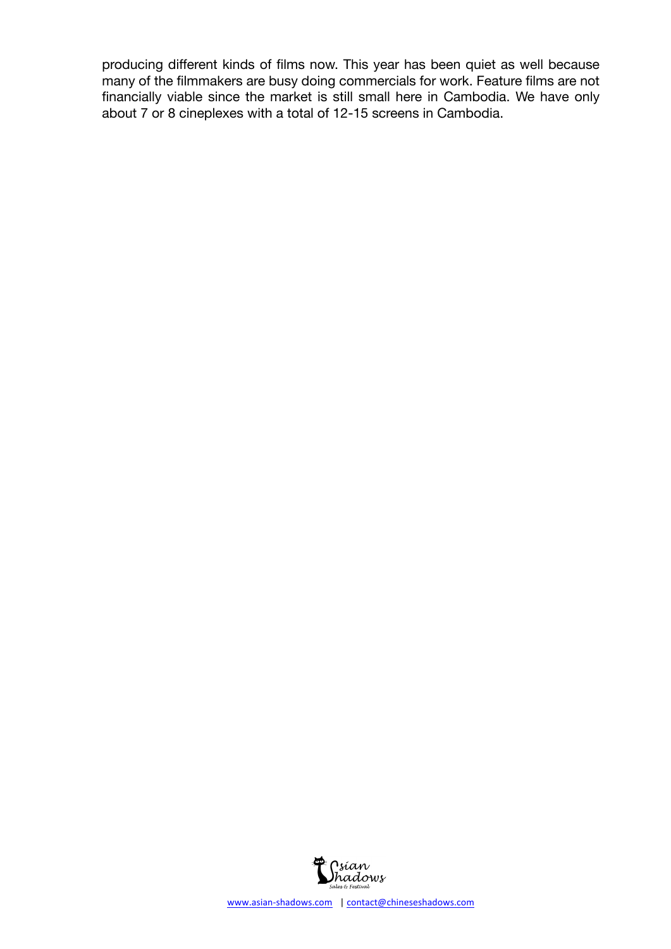producing different kinds of films now. This year has been quiet as well because many of the filmmakers are busy doing commercials for work. Feature films are not financially viable since the market is still small here in Cambodia. We have only about 7 or 8 cineplexes with a total of 12-15 screens in Cambodia.

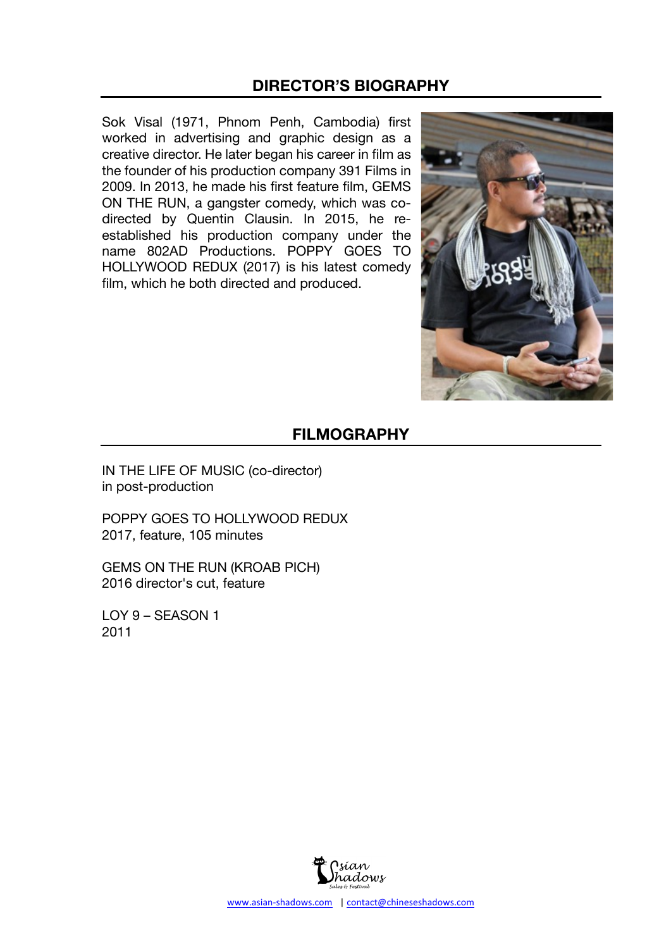## **DIRECTOR'S BIOGRAPHY**

Sok Visal (1971, Phnom Penh, Cambodia) first worked in advertising and graphic design as a creative director. He later began his career in film as the founder of his production company 391 Films in 2009. In 2013, he made his first feature film, GEMS ON THE RUN, a gangster comedy, which was codirected by Quentin Clausin. In 2015, he reestablished his production company under the name 802AD Productions. POPPY GOES TO HOLLYWOOD REDUX (2017) is his latest comedy film, which he both directed and produced.



# **FILMOGRAPHY**

IN THE LIFE OF MUSIC (co-director) in post-production

POPPY GOES TO HOLLYWOOD REDUX 2017, feature, 105 minutes

GEMS ON THE RUN (KROAB PICH) 2016 director's cut, feature

LOY 9 – SEASON 1 2011